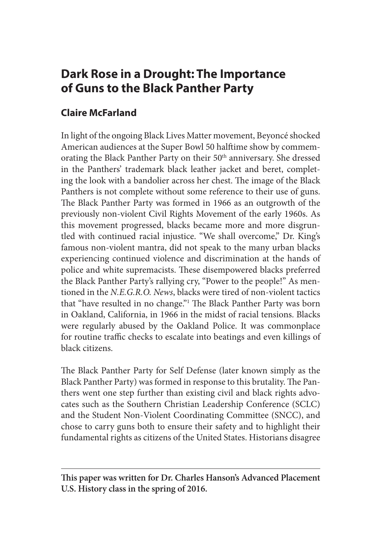# **Dark Rose in a Drought: The Importance of Guns to the Black Panther Party**

## **Claire McFarland**

In light of the ongoing Black Lives Matter movement, Beyoncé shocked American audiences at the Super Bowl 50 halftime show by commemorating the Black Panther Party on their 50<sup>th</sup> anniversary. She dressed in the Panthers' trademark black leather jacket and beret, completing the look with a bandolier across her chest. The image of the Black Panthers is not complete without some reference to their use of guns. The Black Panther Party was formed in 1966 as an outgrowth of the previously non-violent Civil Rights Movement of the early 1960s. As this movement progressed, blacks became more and more disgruntled with continued racial injustice. "We shall overcome," Dr. King's famous non-violent mantra, did not speak to the many urban blacks experiencing continued violence and discrimination at the hands of police and white supremacists. These disempowered blacks preferred the Black Panther Party's rallying cry, "Power to the people!" As mentioned in the *N.E.G.R.O. News*, blacks were tired of non-violent tactics that "have resulted in no change."1 The Black Panther Party was born in Oakland, California, in 1966 in the midst of racial tensions. Blacks were regularly abused by the Oakland Police. It was commonplace for routine traffic checks to escalate into beatings and even killings of black citizens.

The Black Panther Party for Self Defense (later known simply as the Black Panther Party) was formed in response to this brutality. The Panthers went one step further than existing civil and black rights advocates such as the Southern Christian Leadership Conference (SCLC) and the Student Non-Violent Coordinating Committee (SNCC), and chose to carry guns both to ensure their safety and to highlight their fundamental rights as citizens of the United States. Historians disagree

**This paper was written for Dr. Charles Hanson's Advanced Placement U.S. History class in the spring of 2016.**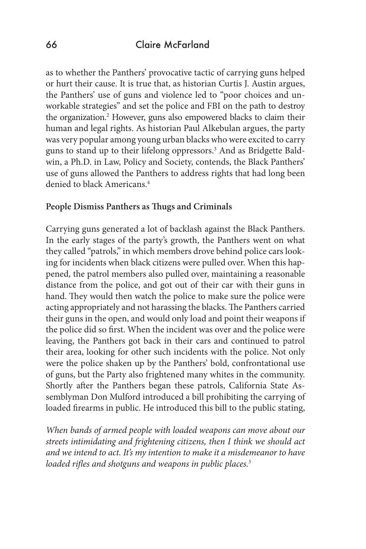as to whether the Panthers' provocative tactic of carrying guns helped or hurt their cause. It is true that, as historian Curtis J. Austin argues, the Panthers' use of guns and violence led to "poor choices and unworkable strategies" and set the police and FBI on the path to destroy the organization.<sup>2</sup> However, guns also empowered blacks to claim their human and legal rights. As historian Paul Alkebulan argues, the party was very popular among young urban blacks who were excited to carry guns to stand up to their lifelong oppressors.3 And as Bridgette Baldwin, a Ph.D. in Law, Policy and Society, contends, the Black Panthers' use of guns allowed the Panthers to address rights that had long been denied to black Americans.<sup>4</sup>

#### **People Dismiss Panthers as Thugs and Criminals**

Carrying guns generated a lot of backlash against the Black Panthers. In the early stages of the party's growth, the Panthers went on what they called "patrols," in which members drove behind police cars looking for incidents when black citizens were pulled over. When this happened, the patrol members also pulled over, maintaining a reasonable distance from the police, and got out of their car with their guns in hand. They would then watch the police to make sure the police were acting appropriately and not harassing the blacks. The Panthers carried their guns in the open, and would only load and point their weapons if the police did so first. When the incident was over and the police were leaving, the Panthers got back in their cars and continued to patrol their area, looking for other such incidents with the police. Not only were the police shaken up by the Panthers' bold, confrontational use of guns, but the Party also frightened many whites in the community. Shortly after the Panthers began these patrols, California State Assemblyman Don Mulford introduced a bill prohibiting the carrying of loaded firearms in public. He introduced this bill to the public stating,

*When bands of armed people with loaded weapons can move about our streets intimidating and frightening citizens, then I think we should act and we intend to act. It's my intention to make it a misdemeanor to have loaded rifles and shotguns and weapons in public places.5*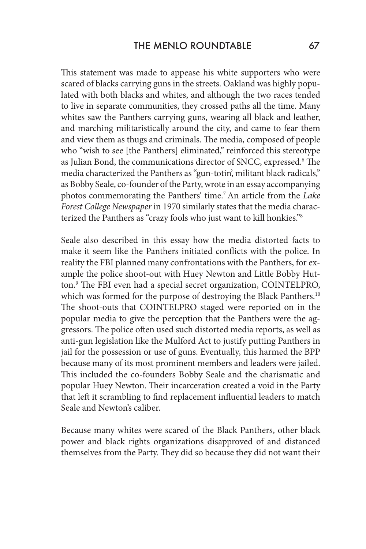This statement was made to appease his white supporters who were scared of blacks carrying guns in the streets. Oakland was highly populated with both blacks and whites, and although the two races tended to live in separate communities, they crossed paths all the time. Many whites saw the Panthers carrying guns, wearing all black and leather, and marching militaristically around the city, and came to fear them and view them as thugs and criminals. The media, composed of people who "wish to see [the Panthers] eliminated," reinforced this stereotype as Julian Bond, the communications director of SNCC, expressed.6 The media characterized the Panthers as "gun-totin', militant black radicals," as Bobby Seale, co-founder of the Party, wrote in an essay accompanying photos commemorating the Panthers' time.7 An article from the *Lake Forest College Newspaper* in 1970 similarly states that the media characterized the Panthers as "crazy fools who just want to kill honkies."8

Seale also described in this essay how the media distorted facts to make it seem like the Panthers initiated conflicts with the police. In reality the FBI planned many confrontations with the Panthers, for example the police shoot-out with Huey Newton and Little Bobby Hutton.9 The FBI even had a special secret organization, COINTELPRO, which was formed for the purpose of destroying the Black Panthers.<sup>10</sup> The shoot-outs that COINTELPRO staged were reported on in the popular media to give the perception that the Panthers were the aggressors. The police often used such distorted media reports, as well as anti-gun legislation like the Mulford Act to justify putting Panthers in jail for the possession or use of guns. Eventually, this harmed the BPP because many of its most prominent members and leaders were jailed. This included the co-founders Bobby Seale and the charismatic and popular Huey Newton. Their incarceration created a void in the Party that left it scrambling to find replacement influential leaders to match Seale and Newton's caliber.

Because many whites were scared of the Black Panthers, other black power and black rights organizations disapproved of and distanced themselves from the Party. They did so because they did not want their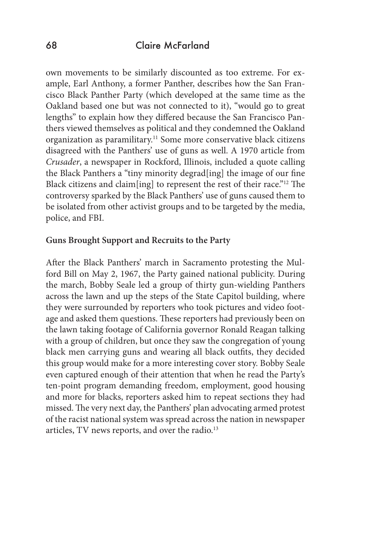own movements to be similarly discounted as too extreme. For example, Earl Anthony, a former Panther, describes how the San Francisco Black Panther Party (which developed at the same time as the Oakland based one but was not connected to it), "would go to great lengths" to explain how they differed because the San Francisco Panthers viewed themselves as political and they condemned the Oakland organization as paramilitary.<sup>11</sup> Some more conservative black citizens disagreed with the Panthers' use of guns as well. A 1970 article from *Crusader*, a newspaper in Rockford, Illinois, included a quote calling the Black Panthers a "tiny minority degrad[ing] the image of our fine Black citizens and claim[ing] to represent the rest of their race."<sup>12</sup> The controversy sparked by the Black Panthers' use of guns caused them to be isolated from other activist groups and to be targeted by the media, police, and FBI.

#### **Guns Brought Support and Recruits to the Party**

After the Black Panthers' march in Sacramento protesting the Mulford Bill on May 2, 1967, the Party gained national publicity. During the march, Bobby Seale led a group of thirty gun-wielding Panthers across the lawn and up the steps of the State Capitol building, where they were surrounded by reporters who took pictures and video footage and asked them questions. These reporters had previously been on the lawn taking footage of California governor Ronald Reagan talking with a group of children, but once they saw the congregation of young black men carrying guns and wearing all black outfits, they decided this group would make for a more interesting cover story. Bobby Seale even captured enough of their attention that when he read the Party's ten-point program demanding freedom, employment, good housing and more for blacks, reporters asked him to repeat sections they had missed. The very next day, the Panthers' plan advocating armed protest of the racist national system was spread across the nation in newspaper articles, TV news reports, and over the radio.<sup>13</sup>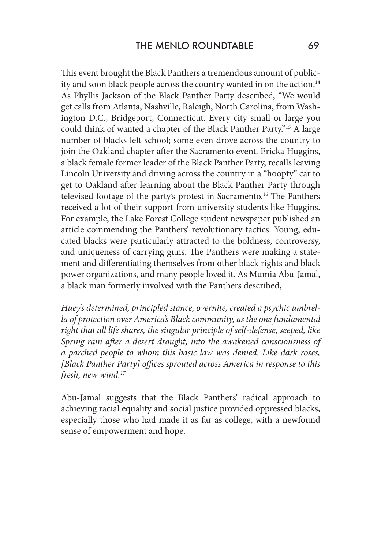This event brought the Black Panthers a tremendous amount of publicity and soon black people across the country wanted in on the action.<sup>14</sup> As Phyllis Jackson of the Black Panther Party described, "We would get calls from Atlanta, Nashville, Raleigh, North Carolina, from Washington D.C., Bridgeport, Connecticut. Every city small or large you could think of wanted a chapter of the Black Panther Party."15 A large number of blacks left school; some even drove across the country to join the Oakland chapter after the Sacramento event. Ericka Huggins, a black female former leader of the Black Panther Party, recalls leaving Lincoln University and driving across the country in a "hoopty" car to get to Oakland after learning about the Black Panther Party through televised footage of the party's protest in Sacramento.<sup>16</sup> The Panthers received a lot of their support from university students like Huggins. For example, the Lake Forest College student newspaper published an article commending the Panthers' revolutionary tactics. Young, educated blacks were particularly attracted to the boldness, controversy, and uniqueness of carrying guns. The Panthers were making a statement and differentiating themselves from other black rights and black power organizations, and many people loved it. As Mumia Abu-Jamal, a black man formerly involved with the Panthers described,

*Huey's determined, principled stance, overnite, created a psychic umbrella of protection over America's Black community, as the one fundamental right that all life shares, the singular principle of self-defense, seeped, like Spring rain after a desert drought, into the awakened consciousness of a parched people to whom this basic law was denied. Like dark roses, [Black Panther Party] offices sprouted across America in response to this fresh, new wind.17*

Abu-Jamal suggests that the Black Panthers' radical approach to achieving racial equality and social justice provided oppressed blacks, especially those who had made it as far as college, with a newfound sense of empowerment and hope.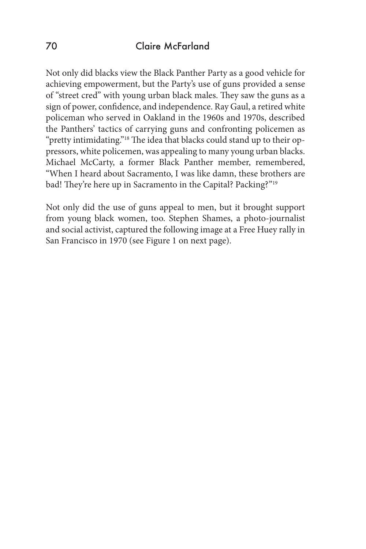Not only did blacks view the Black Panther Party as a good vehicle for achieving empowerment, but the Party's use of guns provided a sense of "street cred" with young urban black males. They saw the guns as a sign of power, confidence, and independence. Ray Gaul, a retired white policeman who served in Oakland in the 1960s and 1970s, described the Panthers' tactics of carrying guns and confronting policemen as "pretty intimidating."<sup>18</sup> The idea that blacks could stand up to their oppressors, white policemen, was appealing to many young urban blacks. Michael McCarty, a former Black Panther member, remembered, "When I heard about Sacramento, I was like damn, these brothers are bad! They're here up in Sacramento in the Capital? Packing?"19

Not only did the use of guns appeal to men, but it brought support from young black women, too. Stephen Shames, a photo-journalist and social activist, captured the following image at a Free Huey rally in San Francisco in 1970 (see Figure 1 on next page).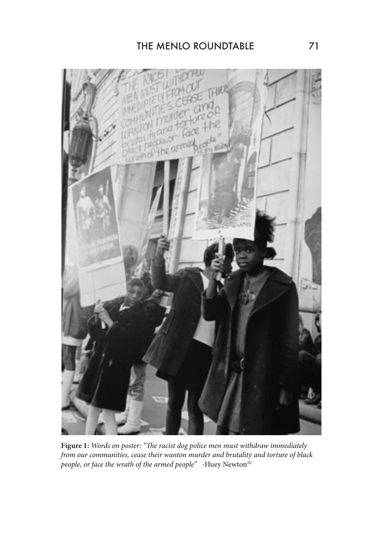

**Figure 1:** *Words on poster: "The racist dog police men must withdraw immediately from our communities, cease their wanton murder and brutality and torture of black people, or face the wrath of the armed people*" -Huey Newton<sup>20</sup>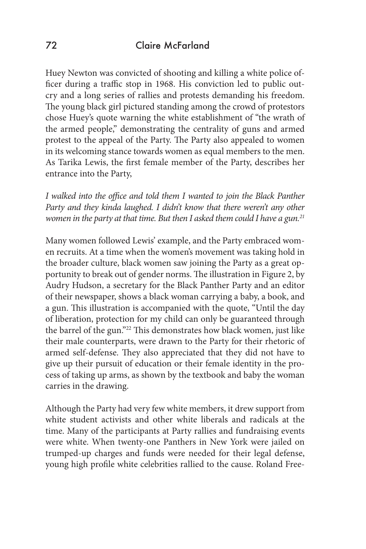Huey Newton was convicted of shooting and killing a white police officer during a traffic stop in 1968. His conviction led to public outcry and a long series of rallies and protests demanding his freedom. The young black girl pictured standing among the crowd of protestors chose Huey's quote warning the white establishment of "the wrath of the armed people," demonstrating the centrality of guns and armed protest to the appeal of the Party. The Party also appealed to women in its welcoming stance towards women as equal members to the men. As Tarika Lewis, the first female member of the Party, describes her entrance into the Party,

*I* walked into the office and told them *I* wanted to join the Black Panther *Party and they kinda laughed. I didn't know that there weren't any other women in the party at that time. But then I asked them could I have a gun.21*

Many women followed Lewis' example, and the Party embraced women recruits. At a time when the women's movement was taking hold in the broader culture, black women saw joining the Party as a great opportunity to break out of gender norms. The illustration in Figure 2, by Audry Hudson, a secretary for the Black Panther Party and an editor of their newspaper, shows a black woman carrying a baby, a book, and a gun. This illustration is accompanied with the quote, "Until the day of liberation, protection for my child can only be guaranteed through the barrel of the gun."22 This demonstrates how black women, just like their male counterparts, were drawn to the Party for their rhetoric of armed self-defense. They also appreciated that they did not have to give up their pursuit of education or their female identity in the process of taking up arms, as shown by the textbook and baby the woman carries in the drawing.

Although the Party had very few white members, it drew support from white student activists and other white liberals and radicals at the time. Many of the participants at Party rallies and fundraising events were white. When twenty-one Panthers in New York were jailed on trumped-up charges and funds were needed for their legal defense, young high profile white celebrities rallied to the cause. Roland Free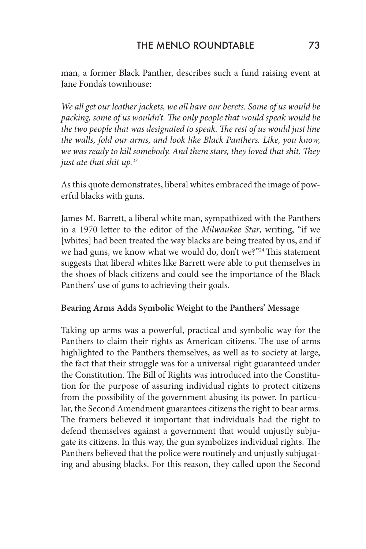man, a former Black Panther, describes such a fund raising event at Jane Fonda's townhouse:

*We all get our leather jackets, we all have our berets. Some of us would be packing, some of us wouldn't. The only people that would speak would be the two people that was designated to speak. The rest of us would just line the walls, fold our arms, and look like Black Panthers. Like, you know, we was ready to kill somebody. And them stars, they loved that shit. They just ate that shit up.23*

As this quote demonstrates, liberal whites embraced the image of powerful blacks with guns.

James M. Barrett, a liberal white man, sympathized with the Panthers in a 1970 letter to the editor of the *Milwaukee Star*, writing, "if we [whites] had been treated the way blacks are being treated by us, and if we had guns, we know what we would do, don't we?"<sup>24</sup> This statement suggests that liberal whites like Barrett were able to put themselves in the shoes of black citizens and could see the importance of the Black Panthers' use of guns to achieving their goals.

## **Bearing Arms Adds Symbolic Weight to the Panthers' Message**

Taking up arms was a powerful, practical and symbolic way for the Panthers to claim their rights as American citizens. The use of arms highlighted to the Panthers themselves, as well as to society at large, the fact that their struggle was for a universal right guaranteed under the Constitution. The Bill of Rights was introduced into the Constitution for the purpose of assuring individual rights to protect citizens from the possibility of the government abusing its power. In particular, the Second Amendment guarantees citizens the right to bear arms. The framers believed it important that individuals had the right to defend themselves against a government that would unjustly subjugate its citizens. In this way, the gun symbolizes individual rights. The Panthers believed that the police were routinely and unjustly subjugating and abusing blacks. For this reason, they called upon the Second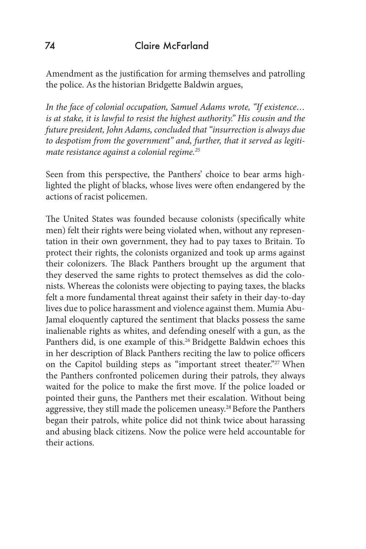Amendment as the justification for arming themselves and patrolling the police. As the historian Bridgette Baldwin argues,

*In the face of colonial occupation, Samuel Adams wrote, "If existence… is at stake, it is lawful to resist the highest authority." His cousin and the future president, John Adams, concluded that "insurrection is always due to despotism from the government" and, further, that it served as legitimate resistance against a colonial regime.25*

Seen from this perspective, the Panthers' choice to bear arms highlighted the plight of blacks, whose lives were often endangered by the actions of racist policemen.

The United States was founded because colonists (specifically white men) felt their rights were being violated when, without any representation in their own government, they had to pay taxes to Britain. To protect their rights, the colonists organized and took up arms against their colonizers. The Black Panthers brought up the argument that they deserved the same rights to protect themselves as did the colonists. Whereas the colonists were objecting to paying taxes, the blacks felt a more fundamental threat against their safety in their day-to-day lives due to police harassment and violence against them. Mumia Abu-Jamal eloquently captured the sentiment that blacks possess the same inalienable rights as whites, and defending oneself with a gun, as the Panthers did, is one example of this.<sup>26</sup> Bridgette Baldwin echoes this in her description of Black Panthers reciting the law to police officers on the Capitol building steps as "important street theater."<sup>27</sup> When the Panthers confronted policemen during their patrols, they always waited for the police to make the first move. If the police loaded or pointed their guns, the Panthers met their escalation. Without being aggressive, they still made the policemen uneasy.28 Before the Panthers began their patrols, white police did not think twice about harassing and abusing black citizens. Now the police were held accountable for their actions.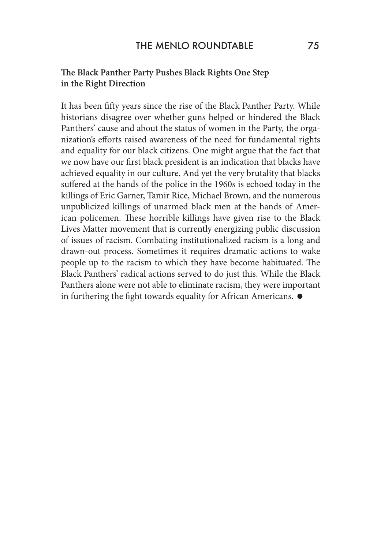### **The Black Panther Party Pushes Black Rights One Step in the Right Direction**

It has been fifty years since the rise of the Black Panther Party. While historians disagree over whether guns helped or hindered the Black Panthers' cause and about the status of women in the Party, the organization's efforts raised awareness of the need for fundamental rights and equality for our black citizens. One might argue that the fact that we now have our first black president is an indication that blacks have achieved equality in our culture. And yet the very brutality that blacks suffered at the hands of the police in the 1960s is echoed today in the killings of Eric Garner, Tamir Rice, Michael Brown, and the numerous unpublicized killings of unarmed black men at the hands of American policemen. These horrible killings have given rise to the Black Lives Matter movement that is currently energizing public discussion of issues of racism. Combating institutionalized racism is a long and drawn-out process. Sometimes it requires dramatic actions to wake people up to the racism to which they have become habituated. The Black Panthers' radical actions served to do just this. While the Black Panthers alone were not able to eliminate racism, they were important in furthering the fight towards equality for African Americans.  $\bullet$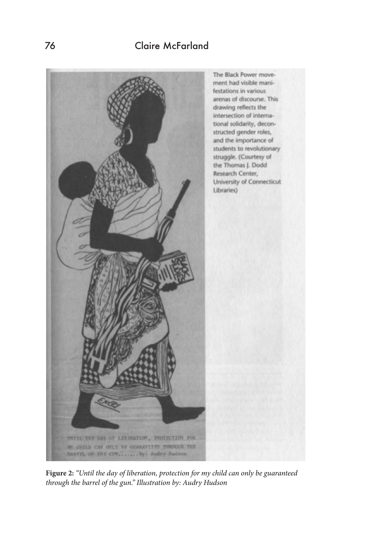

**Figure 2:** *"Until the day of liberation, protection for my child can only be guaranteed through the barrel of the gun." Illustration by: Audry Hudson*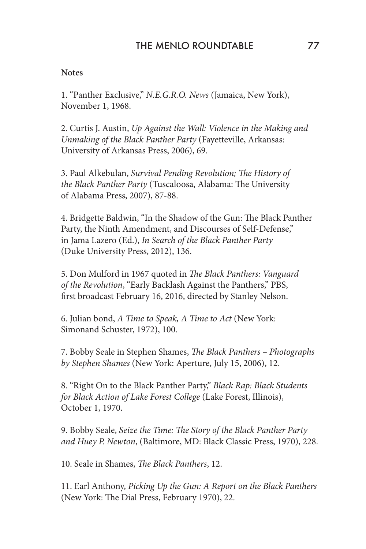### **Notes**

1. "Panther Exclusive," *N.E.G.R.O. News* (Jamaica, New York), November 1, 1968.

2. Curtis J. Austin, *Up Against the Wall: Violence in the Making and Unmaking of the Black Panther Party* (Fayetteville, Arkansas: University of Arkansas Press, 2006), 69.

3. Paul Alkebulan, *Survival Pending Revolution; The History of the Black Panther Party* (Tuscaloosa, Alabama: The University of Alabama Press, 2007), 87-88.

4. Bridgette Baldwin, "In the Shadow of the Gun: The Black Panther Party, the Ninth Amendment, and Discourses of Self-Defense," in Jama Lazero (Ed.), *In Search of the Black Panther Party* (Duke University Press, 2012), 136.

5. Don Mulford in 1967 quoted in *The Black Panthers: Vanguard of the Revolution*, "Early Backlash Against the Panthers," PBS, first broadcast February 16, 2016, directed by Stanley Nelson.

6. Julian bond, *A Time to Speak, A Time to Act* (New York: Simonand Schuster, 1972), 100.

7. Bobby Seale in Stephen Shames, *The Black Panthers – Photographs by Stephen Shames* (New York: Aperture, July 15, 2006), 12.

8. "Right On to the Black Panther Party," *Black Rap: Black Students for Black Action of Lake Forest College* (Lake Forest, Illinois), October 1, 1970.

9. Bobby Seale, *Seize the Time: The Story of the Black Panther Party and Huey P. Newton*, (Baltimore, MD: Black Classic Press, 1970), 228.

10. Seale in Shames, *The Black Panthers*, 12.

11. Earl Anthony, *Picking Up the Gun: A Report on the Black Panthers* (New York: The Dial Press, February 1970), 22.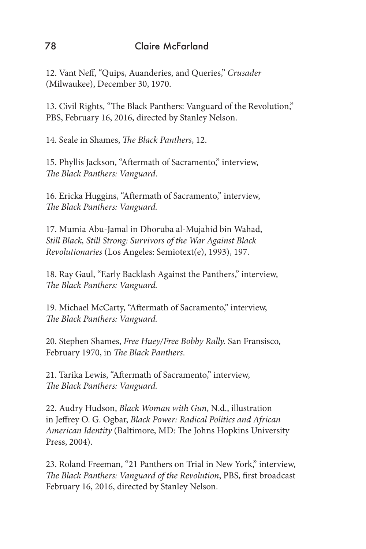12. Vant Neff, "Quips, Auanderies, and Queries," *Crusader* (Milwaukee), December 30, 1970.

13. Civil Rights, "The Black Panthers: Vanguard of the Revolution," PBS, February 16, 2016, directed by Stanley Nelson.

14. Seale in Shames, *The Black Panthers*, 12.

15. Phyllis Jackson, "Aftermath of Sacramento," interview, *The Black Panthers: Vanguard*.

16. Ericka Huggins, "Aftermath of Sacramento," interview, *The Black Panthers: Vanguard.*

17. Mumia Abu-Jamal in Dhoruba al-Mujahid bin Wahad, *Still Black, Still Strong: Survivors of the War Against Black Revolutionaries* (Los Angeles: Semiotext(e), 1993), 197.

18. Ray Gaul, "Early Backlash Against the Panthers," interview, *The Black Panthers: Vanguard.*

19. Michael McCarty, "Aftermath of Sacramento," interview, *The Black Panthers: Vanguard.*

20. Stephen Shames, *Free Huey/Free Bobby Rally.* San Fransisco, February 1970, in *The Black Panthers*.

21. Tarika Lewis, "Aftermath of Sacramento," interview, *The Black Panthers: Vanguard.*

22. Audry Hudson, *Black Woman with Gun*, N.d., illustration in Jeffrey O. G. Ogbar, *Black Power: Radical Politics and African American Identity* (Baltimore, MD: The Johns Hopkins University Press, 2004).

23. Roland Freeman, "21 Panthers on Trial in New York," interview, *The Black Panthers: Vanguard of the Revolution*, PBS, first broadcast February 16, 2016, directed by Stanley Nelson.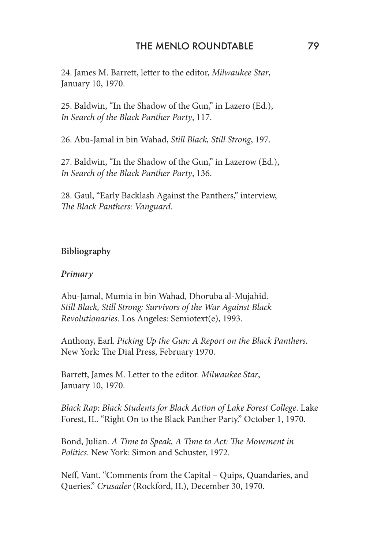24. James M. Barrett, letter to the editor, *Milwaukee Star*, January 10, 1970.

25. Baldwin, "In the Shadow of the Gun," in Lazero (Ed.), *In Search of the Black Panther Party*, 117.

26. Abu-Jamal in bin Wahad, *Still Black, Still Strong*, 197.

27. Baldwin, "In the Shadow of the Gun," in Lazerow (Ed.), *In Search of the Black Panther Party*, 136.

28. Gaul, "Early Backlash Against the Panthers," interview, *The Black Panthers: Vanguard.*

## **Bibliography**

#### *Primary*

Abu-Jamal, Mumia in bin Wahad, Dhoruba al-Mujahid. *Still Black, Still Strong: Survivors of the War Against Black Revolutionaries*. Los Angeles: Semiotext(e), 1993.

Anthony, Earl. *Picking Up the Gun: A Report on the Black Panthers*. New York: The Dial Press, February 1970.

Barrett, James M. Letter to the editor. *Milwaukee Star*, January 10, 1970.

*Black Rap: Black Students for Black Action of Lake Forest College*. Lake Forest, IL. "Right On to the Black Panther Party." October 1, 1970.

Bond, Julian. *A Time to Speak, A Time to Act: The Movement in Politics*. New York: Simon and Schuster, 1972.

Neff, Vant. "Comments from the Capital – Quips, Quandaries, and Queries." *Crusader* (Rockford, IL), December 30, 1970.